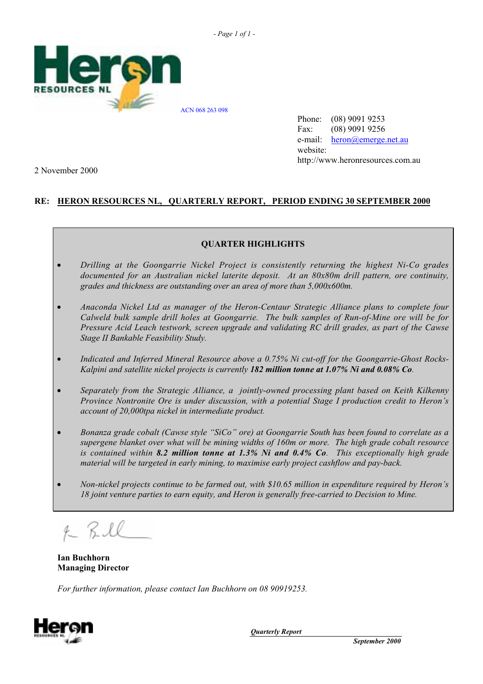



Phone: (08) 9091 9253 Fax: (08) 9091 9256 e-mail: heron@emerge.net.au website: http://www.heronresources.com.au

2 November 2000

# **RE: HERON RESOURCES NL, QUARTERLY REPORT, PERIOD ENDING 30 SEPTEMBER 2000**

# **QUARTER HIGHLIGHTS**

- *Drilling at the Goongarrie Nickel Project is consistently returning the highest Ni-Co grades documented for an Australian nickel laterite deposit. At an 80x80m drill pattern, ore continuity, grades and thickness are outstanding over an area of more than 5,000x600m.*
- *Anaconda Nickel Ltd as manager of the Heron-Centaur Strategic Alliance plans to complete four Calweld bulk sample drill holes at Goongarrie. The bulk samples of Run-of-Mine ore will be for Pressure Acid Leach testwork, screen upgrade and validating RC drill grades, as part of the Cawse Stage II Bankable Feasibility Study.*
- *Indicated and Inferred Mineral Resource above a 0.75% Ni cut-off for the Goongarrie-Ghost Rocks-Kalpini and satellite nickel projects is currently 182 million tonne at 1.07% Ni and 0.08% Co.*
- *Separately from the Strategic Alliance, a jointly-owned processing plant based on Keith Kilkenny Province Nontronite Ore is under discussion, with a potential Stage I production credit to Heron's account of 20,000tpa nickel in intermediate product.*
- *Bonanza grade cobalt (Cawse style "SiCo" ore) at Goongarrie South has been found to correlate as a supergene blanket over what will be mining widths of 160m or more. The high grade cobalt resource is contained within 8.2 million tonne at 1.3% Ni and 0.4% Co. This exceptionally high grade material will be targeted in early mining, to maximise early project cashflow and pay-back.*
- *Non-nickel projects continue to be farmed out, with \$10.65 million in expenditure required by Heron's 18 joint venture parties to earn equity, and Heron is generally free-carried to Decision to Mine.*

**Ian Buchhorn Managing Director**

*For further information, please contact Ian Buchhorn on 08 90919253.*

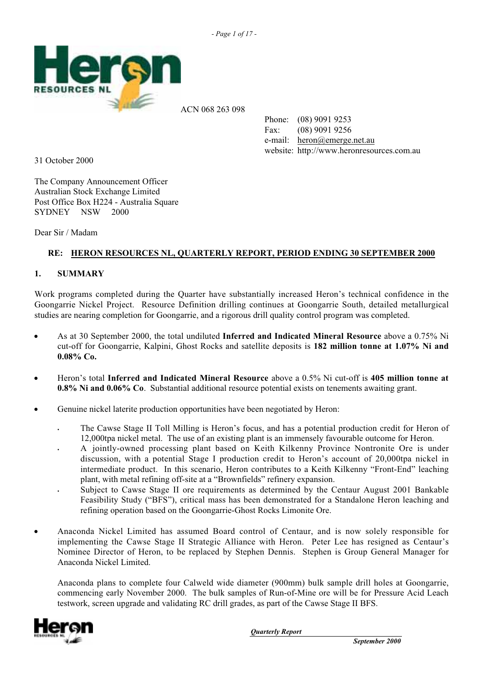

ACN 068 263 098

Phone: (08) 9091 9253 Fax: (08) 9091 9256 e-mail: heron@emerge.net.au website: http://www.heronresources.com.au

31 October 2000

The Company Announcement Officer Australian Stock Exchange Limited Post Office Box H224 - Australia Square SYDNEY NSW 2000

Dear Sir / Madam

# **RE: HERON RESOURCES NL, QUARTERLY REPORT, PERIOD ENDING 30 SEPTEMBER 2000**

# **1. SUMMARY**

Work programs completed during the Quarter have substantially increased Heron's technical confidence in the Goongarrie Nickel Project. Resource Definition drilling continues at Goongarrie South, detailed metallurgical studies are nearing completion for Goongarrie, and a rigorous drill quality control program was completed.

- As at 30 September 2000, the total undiluted **Inferred and Indicated Mineral Resource** above a 0.75% Ni cut-off for Goongarrie, Kalpini, Ghost Rocks and satellite deposits is **182 million tonne at 1.07% Ni and 0.08% Co.**
- Heron's total **Inferred and Indicated Mineral Resource** above a 0.5% Ni cut-off is **405 million tonne at 0.8% Ni and 0.06% Co**. Substantial additional resource potential exists on tenements awaiting grant.
- Genuine nickel laterite production opportunities have been negotiated by Heron:
	- The Cawse Stage II Toll Milling is Heron's focus, and has a potential production credit for Heron of 12,000tpa nickel metal. The use of an existing plant is an immensely favourable outcome for Heron.
	- § A jointly-owned processing plant based on Keith Kilkenny Province Nontronite Ore is under discussion, with a potential Stage I production credit to Heron's account of 20,000tpa nickel in intermediate product. In this scenario, Heron contributes to a Keith Kilkenny "Front-End" leaching plant, with metal refining off-site at a "Brownfields" refinery expansion.
	- § Subject to Cawse Stage II ore requirements as determined by the Centaur August 2001 Bankable Feasibility Study ("BFS"), critical mass has been demonstrated for a Standalone Heron leaching and refining operation based on the Goongarrie-Ghost Rocks Limonite Ore.
- Anaconda Nickel Limited has assumed Board control of Centaur, and is now solely responsible for implementing the Cawse Stage II Strategic Alliance with Heron. Peter Lee has resigned as Centaur's Nominee Director of Heron, to be replaced by Stephen Dennis. Stephen is Group General Manager for Anaconda Nickel Limited.

Anaconda plans to complete four Calweld wide diameter (900mm) bulk sample drill holes at Goongarrie, commencing early November 2000. The bulk samples of Run-of-Mine ore will be for Pressure Acid Leach testwork, screen upgrade and validating RC drill grades, as part of the Cawse Stage II BFS.

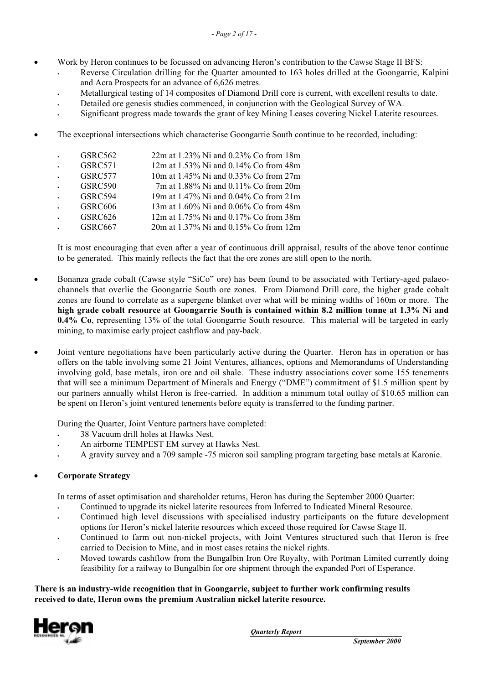- Work by Heron continues to be focussed on advancing Heron's contribution to the Cawse Stage II BFS:
	- § Reverse Circulation drilling for the Quarter amounted to 163 holes drilled at the Goongarrie, Kalpini and Acra Prospects for an advance of 6,626 metres.
	- § Metallurgical testing of 14 composites of Diamond Drill core is current, with excellent results to date.
	- § Detailed ore genesis studies commenced, in conjunction with the Geological Survey of WA.
	- § Significant progress made towards the grant of key Mining Leases covering Nickel Laterite resources.
- The exceptional intersections which characterise Goongarrie South continue to be recorded, including:
	- § GSRC562 22m at 1.23% Ni and 0.23% Co from 18m
	- § GSRC571 12m at 1.53% Ni and 0.14% Co from 48m
	- § GSRC577 10m at 1.45% Ni and 0.33% Co from 27m § GSRC590 7m at 1.88% Ni and 0.11% Co from 20m
	- § GSRC594 19m at 1.47% Ni and 0.04% Co from 21m
	- § GSRC606 13m at 1.60% Ni and 0.06% Co from 48m
	- § GSRC626 12m at 1.75% Ni and 0.17% Co from 38m
	- § GSRC667 20m at 1.37% Ni and 0.15% Co from 12m

It is most encouraging that even after a year of continuous drill appraisal, results of the above tenor continue to be generated. This mainly reflects the fact that the ore zones are still open to the north.

- Bonanza grade cobalt (Cawse style "SiCo" ore) has been found to be associated with Tertiary-aged palaeochannels that overlie the Goongarrie South ore zones. From Diamond Drill core, the higher grade cobalt zones are found to correlate as a supergene blanket over what will be mining widths of 160m or more. The **high grade cobalt resource at Goongarrie South is contained within 8.2 million tonne at 1.3% Ni and 0.4% Co**, representing 13% of the total Goongarrie South resource. This material will be targeted in early mining, to maximise early project cashflow and pay-back.
- Joint venture negotiations have been particularly active during the Quarter. Heron has in operation or has offers on the table involving some 21 Joint Ventures, alliances, options and Memorandums of Understanding involving gold, base metals, iron ore and oil shale. These industry associations cover some 155 tenements that will see a minimum Department of Minerals and Energy ("DME") commitment of \$1.5 million spent by our partners annually whilst Heron is free-carried. In addition a minimum total outlay of \$10.65 million can be spent on Heron's joint ventured tenements before equity is transferred to the funding partner.

During the Quarter, Joint Venture partners have completed:

- § 38 Vacuum drill holes at Hawks Nest.
- § An airborne TEMPEST EM survey at Hawks Nest.
- § A gravity survey and a 709 sample -75 micron soil sampling program targeting base metals at Karonie.

# • **Corporate Strategy**

In terms of asset optimisation and shareholder returns, Heron has during the September 2000 Quarter:

- § Continued to upgrade its nickel laterite resources from Inferred to Indicated Mineral Resource.
- Continued high level discussions with specialised industry participants on the future development options for Heron's nickel laterite resources which exceed those required for Cawse Stage II.
- Continued to farm out non-nickel projects, with Joint Ventures structured such that Heron is free carried to Decision to Mine, and in most cases retains the nickel rights.
- § Moved towards cashflow from the Bungalbin Iron Ore Royalty, with Portman Limited currently doing feasibility for a railway to Bungalbin for ore shipment through the expanded Port of Esperance.

### **There is an industry-wide recognition that in Goongarrie, subject to further work confirming results received to date, Heron owns the premium Australian nickel laterite resource.**

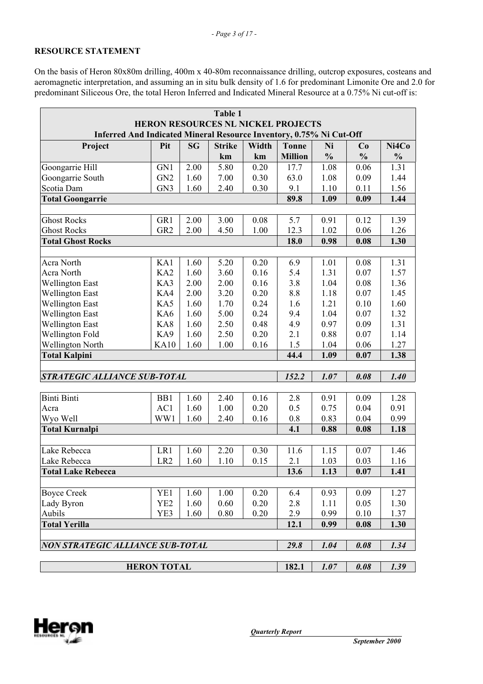# **RESOURCE STATEMENT**

On the basis of Heron 80x80m drilling, 400m x 40-80m reconnaissance drilling, outcrop exposures, costeans and aeromagnetic interpretation, and assuming an in situ bulk density of 1.6 for predominant Limonite Ore and 2.0 for predominant Siliceous Ore, the total Heron Inferred and Indicated Mineral Resource at a 0.75% Ni cut-off is:

| Table 1                                                             |                                                     |           |               |       |                |               |               |               |  |  |
|---------------------------------------------------------------------|-----------------------------------------------------|-----------|---------------|-------|----------------|---------------|---------------|---------------|--|--|
| HERON RESOURCES NL NICKEL PROJECTS                                  |                                                     |           |               |       |                |               |               |               |  |  |
| Inferred And Indicated Mineral Resource Inventory, 0.75% Ni Cut-Off |                                                     |           |               |       |                |               |               |               |  |  |
| Project                                                             | Pit                                                 | <b>SG</b> | <b>Strike</b> | Width | <b>Tonne</b>   | Ni            | Co            | Ni4Co         |  |  |
|                                                                     |                                                     |           | km            | km    | <b>Million</b> | $\frac{0}{0}$ | $\frac{0}{0}$ | $\frac{0}{0}$ |  |  |
| Goongarrie Hill                                                     | GN1                                                 | 2.00      | 5.80          | 0.20  | 17.7           | 1.08          | 0.06          | 1.31          |  |  |
| Goongarrie South                                                    | GN <sub>2</sub>                                     | 1.60      | 7.00          | 0.30  | 63.0           | 1.08          | 0.09          | 1.44          |  |  |
| Scotia Dam                                                          | GN <sub>3</sub>                                     | 1.60      | 2.40          | 0.30  | 9.1            | 1.10          | 0.11          | 1.56          |  |  |
| <b>Total Goongarrie</b>                                             |                                                     |           |               |       | 89.8           | 1.09          | 0.09          | 1.44          |  |  |
|                                                                     |                                                     |           |               |       |                |               |               |               |  |  |
| <b>Ghost Rocks</b>                                                  | GR1                                                 | 2.00      | 3.00          | 0.08  | 5.7            | 0.91          | 0.12          | 1.39          |  |  |
| <b>Ghost Rocks</b>                                                  | GR <sub>2</sub>                                     | 2.00      | 4.50          | 1.00  | 12.3           | 1.02          | 0.06          | 1.26          |  |  |
| <b>Total Ghost Rocks</b>                                            |                                                     |           |               |       | 18.0           | 0.98          | 0.08          | 1.30          |  |  |
|                                                                     |                                                     |           |               |       |                |               |               |               |  |  |
| Acra North                                                          | KA1                                                 | 1.60      | 5.20          | 0.20  | 6.9            | 1.01          | 0.08          | 1.31          |  |  |
| Acra North                                                          | KA <sub>2</sub>                                     | 1.60      | 3.60          | 0.16  | 5.4            | 1.31          | 0.07          | 1.57          |  |  |
| <b>Wellington East</b>                                              | KA3                                                 | 2.00      | 2.00          | 0.16  | 3.8            | 1.04          | 0.08          | 1.36          |  |  |
| <b>Wellington East</b>                                              | KA4                                                 | 2.00      | 3.20          | 0.20  | 8.8            | 1.18          | 0.07          | 1.45          |  |  |
| <b>Wellington East</b>                                              | KA5                                                 | 1.60      | 1.70          | 0.24  | 1.6            | 1.21          | 0.10          | 1.60          |  |  |
| <b>Wellington East</b>                                              | KA6                                                 | 1.60      | 5.00          | 0.24  | 9.4            | 1.04          | 0.07          | 1.32          |  |  |
| <b>Wellington East</b>                                              | KA8                                                 | 1.60      | 2.50          | 0.48  | 4.9            | 0.97          | 0.09          | 1.31          |  |  |
| Wellington Fold                                                     | KA9                                                 | 1.60      | 2.50          | 0.20  | 2.1            | 0.88          | 0.07          | 1.14          |  |  |
| <b>Wellington North</b>                                             | <b>KA10</b>                                         | 1.60      | 1.00          | 0.16  | 1.5            | 1.04          | 0.06          | 1.27          |  |  |
| <b>Total Kalpini</b>                                                |                                                     |           |               |       | 44.4           | 1.09          | 0.07          | 1.38          |  |  |
|                                                                     |                                                     |           |               |       |                |               |               |               |  |  |
| <b>STRATEGIC ALLIANCE SUB-TOTAL</b>                                 |                                                     |           |               |       | 152.2          | 1.07          | 0.08          | 1.40          |  |  |
|                                                                     |                                                     |           |               |       |                |               |               |               |  |  |
| <b>Binti Binti</b>                                                  | B <sub>B1</sub>                                     | 1.60      | 2.40          | 0.16  | 2.8            | 0.91          | 0.09          | 1.28          |  |  |
| Acra                                                                | AC1                                                 | 1.60      | 1.00          | 0.20  | 0.5            | 0.75          | 0.04          | 0.91          |  |  |
| Wyo Well                                                            | WW1                                                 | 1.60      | 2.40          | 0.16  | 0.8            | 0.83          | 0.04          | 0.99          |  |  |
| <b>Total Kurnalpi</b>                                               |                                                     |           |               |       | 4.1            | 0.88          | 0.08          | 1.18          |  |  |
|                                                                     |                                                     |           |               |       |                |               |               |               |  |  |
| Lake Rebecca                                                        | LR1                                                 | 1.60      | 2.20          | 0.30  | 11.6           | 1.15          | 0.07          | 1.46          |  |  |
| Lake Rebecca                                                        | LR <sub>2</sub>                                     | 1.60      | 1.10          | 0.15  | 2.1            | 1.03          | 0.03          | 1.16          |  |  |
| <b>Total Lake Rebecca</b>                                           |                                                     |           |               |       | 13.6           | 1.13          | 0.07          | 1.41          |  |  |
|                                                                     |                                                     |           |               |       |                |               |               |               |  |  |
| <b>Boyce Creek</b>                                                  | YE1                                                 | 1.60      | 1.00          | 0.20  | 6.4            | 0.93          | 0.09          | 1.27          |  |  |
| Lady Byron                                                          | YE <sub>2</sub>                                     | 1.60      | 0.60          | 0.20  | 2.8            | 1.11          | 0.05          | 1.30          |  |  |
| Aubils                                                              | YE3                                                 | 1.60      | 0.80          | 0.20  | 2.9            | 0.99          | 0.10          | 1.37          |  |  |
| <b>Total Yerilla</b>                                                |                                                     |           |               |       | 12.1           | 0.99          | 0.08          | 1.30          |  |  |
|                                                                     |                                                     |           |               |       |                |               |               |               |  |  |
| <b>NON STRATEGIC ALLIANCE SUB-TOTAL</b>                             |                                                     |           |               |       | 29.8           | 1.04          | 0.08          | 1.34          |  |  |
|                                                                     |                                                     |           |               |       |                |               |               |               |  |  |
|                                                                     | <b>HERON TOTAL</b><br>182.1<br>1.39<br>1.07<br>0.08 |           |               |       |                |               |               |               |  |  |

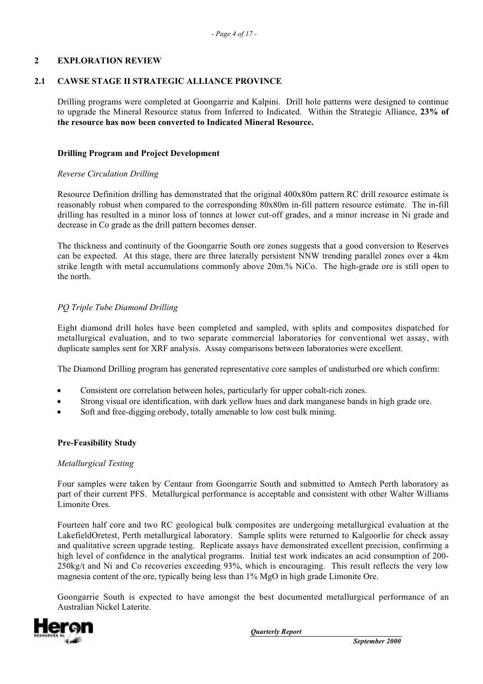### **2 EXPLORATION REVIEW**

### **2.1 CAWSE STAGE II STRATEGIC ALLIANCE PROVINCE**

Drilling programs were completed at Goongarrie and Kalpini. Drill hole patterns were designed to continue to upgrade the Mineral Resource status from Inferred to Indicated. Within the Strategic Alliance, **23% of the resource has now been converted to Indicated Mineral Resource.**

### **Drilling Program and Project Development**

### *Reverse Circulation Drilling*

Resource Definition drilling has demonstrated that the original 400x80m pattern RC drill resource estimate is reasonably robust when compared to the corresponding 80x80m in-fill pattern resource estimate. The in-fill drilling has resulted in a minor loss of tonnes at lower cut-off grades, and a minor increase in Ni grade and decrease in Co grade as the drill pattern becomes denser.

The thickness and continuity of the Goongarrie South ore zones suggests that a good conversion to Reserves can be expected. At this stage, there are three laterally persistent NNW trending parallel zones over a 4km strike length with metal accumulations commonly above 20m.% NiCo. The high-grade ore is still open to the north.

### *PQ Triple Tube Diamond Drilling*

Eight diamond drill holes have been completed and sampled, with splits and composites dispatched for metallurgical evaluation, and to two separate commercial laboratories for conventional wet assay, with duplicate samples sent for XRF analysis. Assay comparisons between laboratories were excellent.

The Diamond Drilling program has generated representative core samples of undisturbed ore which confirm:

- Consistent ore correlation between holes, particularly for upper cobalt-rich zones.
- Strong visual ore identification, with dark yellow hues and dark manganese bands in high grade ore.
- Soft and free-digging orebody, totally amenable to low cost bulk mining.

### **Pre-Feasibility Study**

### *Metallurgical Testing*

Four samples were taken by Centaur from Goongarrie South and submitted to Amtech Perth laboratory as part of their current PFS. Metallurgical performance is acceptable and consistent with other Walter Williams Limonite Ores.

Fourteen half core and two RC geological bulk composites are undergoing metallurgical evaluation at the LakefieldOretest, Perth metallurgical laboratory. Sample splits were returned to Kalgoorlie for check assay and qualitative screen upgrade testing. Replicate assays have demonstrated excellent precision, confirming a high level of confidence in the analytical programs. Initial test work indicates an acid consumption of 200-250kg/t and Ni and Co recoveries exceeding 93%, which is encouraging. This result reflects the very low magnesia content of the ore, typically being less than 1% MgO in high grade Limonite Ore.

Goongarrie South is expected to have amongst the best documented metallurgical performance of an Australian Nickel Laterite.

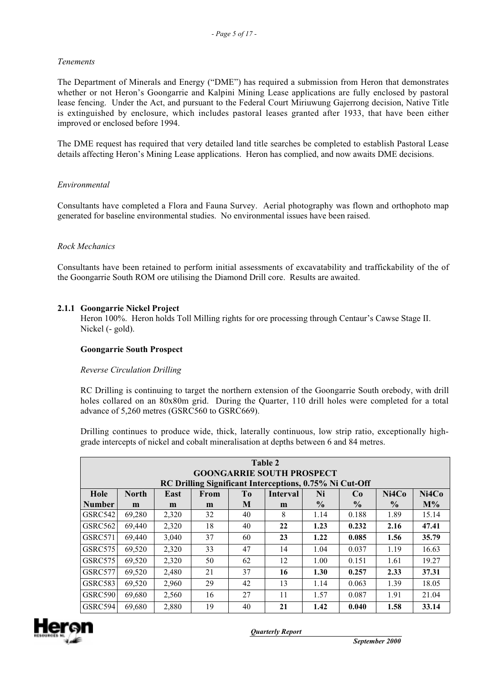## *Tenements*

The Department of Minerals and Energy ("DME") has required a submission from Heron that demonstrates whether or not Heron's Goongarrie and Kalpini Mining Lease applications are fully enclosed by pastoral lease fencing. Under the Act, and pursuant to the Federal Court Miriuwung Gajerrong decision, Native Title is extinguished by enclosure, which includes pastoral leases granted after 1933, that have been either improved or enclosed before 1994.

The DME request has required that very detailed land title searches be completed to establish Pastoral Lease details affecting Heron's Mining Lease applications. Heron has complied, and now awaits DME decisions.

### *Environmental*

Consultants have completed a Flora and Fauna Survey. Aerial photography was flown and orthophoto map generated for baseline environmental studies. No environmental issues have been raised.

### *Rock Mechanics*

Consultants have been retained to perform initial assessments of excavatability and traffickability of the of the Goongarrie South ROM ore utilising the Diamond Drill core. Results are awaited.

### **2.1.1 Goongarrie Nickel Project**

Heron 100%. Heron holds Toll Milling rights for ore processing through Centaur's Cawse Stage II. Nickel (- gold).

### **Goongarrie South Prospect**

### *Reverse Circulation Drilling*

RC Drilling is continuing to target the northern extension of the Goongarrie South orebody, with drill holes collared on an 80x80m grid. During the Quarter, 110 drill holes were completed for a total advance of 5,260 metres (GSRC560 to GSRC669).

Drilling continues to produce wide, thick, laterally continuous, low strip ratio, exceptionally highgrade intercepts of nickel and cobalt mineralisation at depths between 6 and 84 metres.

| Table 2<br><b>GOONGARRIE SOUTH PROSPECT</b><br>RC Drilling Significant Interceptions, 0.75% Ni Cut-Off |              |       |      |                |                 |               |               |               |       |  |
|--------------------------------------------------------------------------------------------------------|--------------|-------|------|----------------|-----------------|---------------|---------------|---------------|-------|--|
| Hole                                                                                                   | <b>North</b> | East  | From | T <sub>0</sub> | <b>Interval</b> | Ni            | Co            | Ni4Co         | Ni4Co |  |
| <b>Number</b>                                                                                          | m            | m     | m    | M              | m               | $\frac{6}{9}$ | $\frac{6}{9}$ | $\frac{6}{9}$ | $M\%$ |  |
| GSRC542                                                                                                | 69,280       | 2,320 | 32   | 40             | 8               | 1.14          | 0.188         | 1.89          | 15.14 |  |
| GSRC562                                                                                                | 69.440       | 2,320 | 18   | 40             | 22              | 1.23          | 0.232         | 2.16          | 47.41 |  |
| GSRC571                                                                                                | 69.440       | 3.040 | 37   | 60             | 23              | 1.22          | 0.085         | 1.56          | 35.79 |  |
| GSRC575                                                                                                | 69,520       | 2,320 | 33   | 47             | 14              | 1.04          | 0.037         | 1.19          | 16.63 |  |
| GSRC575                                                                                                | 69.520       | 2,320 | 50   | 62             | 12              | 1.00          | 0.151         | 1.61          | 19.27 |  |
| GSRC577                                                                                                | 69,520       | 2,480 | 21   | 37             | 16              | 1.30          | 0.257         | 2.33          | 37.31 |  |
| GSRC583                                                                                                | 69,520       | 2,960 | 29   | 42             | 13              | 1.14          | 0.063         | 1.39          | 18.05 |  |
| <b>GSRC590</b>                                                                                         | 69,680       | 2,560 | 16   | 27             | 11              | 1.57          | 0.087         | 1.91          | 21.04 |  |
| GSRC594                                                                                                | 69.680       | 2,880 | 19   | 40             | 21              | 1.42          | 0.040         | 1.58          | 33.14 |  |

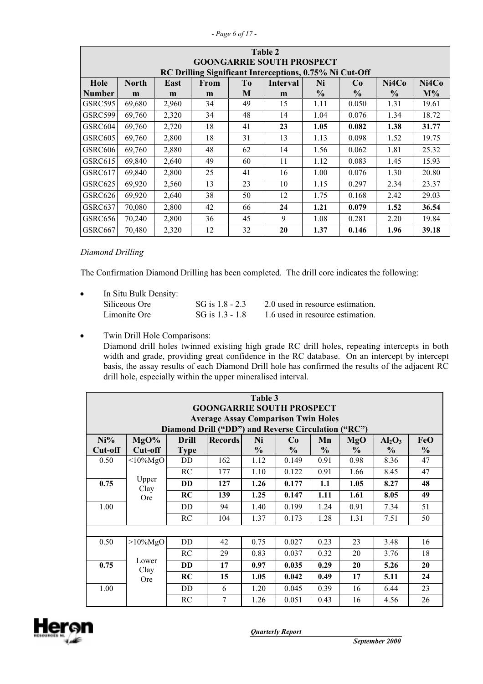|  | - Page 6 of 17 |  |  |  |  |  |
|--|----------------|--|--|--|--|--|
|--|----------------|--|--|--|--|--|

|                | Table 2                                                                                         |       |    |    |                                                         |               |               |               |       |  |  |
|----------------|-------------------------------------------------------------------------------------------------|-------|----|----|---------------------------------------------------------|---------------|---------------|---------------|-------|--|--|
|                | <b>GOONGARRIE SOUTH PROSPECT</b>                                                                |       |    |    |                                                         |               |               |               |       |  |  |
|                |                                                                                                 |       |    |    | RC Drilling Significant Interceptions, 0.75% Ni Cut-Off |               |               |               |       |  |  |
| Hole           | <b>Interval</b><br>Ni4Co<br>Ni4Co<br><b>North</b><br>East<br>From<br>T <sub>o</sub><br>Ni<br>Co |       |    |    |                                                         |               |               |               |       |  |  |
| <b>Number</b>  | m                                                                                               | m     | m  | M  | m                                                       | $\frac{6}{9}$ | $\frac{0}{0}$ | $\frac{6}{9}$ | $M\%$ |  |  |
| GSRC595        | 69,680                                                                                          | 2,960 | 34 | 49 | 15                                                      | 1.11          | 0.050         | 1.31          | 19.61 |  |  |
| GSRC599        | 69.760                                                                                          | 2,320 | 34 | 48 | 14                                                      | 1.04          | 0.076         | 1.34          | 18.72 |  |  |
| GSRC604        | 69,760                                                                                          | 2,720 | 18 | 41 | 23                                                      | 1.05          | 0.082         | 1.38          | 31.77 |  |  |
| GSRC605        | 69,760                                                                                          | 2,800 | 18 | 31 | 13                                                      | 1.13          | 0.098         | 1.52          | 19.75 |  |  |
| GSRC606        | 69,760                                                                                          | 2,880 | 48 | 62 | 14                                                      | 1.56          | 0.062         | 1.81          | 25.32 |  |  |
| GSRC615        | 69,840                                                                                          | 2,640 | 49 | 60 | 11                                                      | 1.12          | 0.083         | 1.45          | 15.93 |  |  |
| GSRC617        | 69,840                                                                                          | 2,800 | 25 | 41 | 16                                                      | 1.00          | 0.076         | 1.30          | 20.80 |  |  |
| GSRC625        | 69,920                                                                                          | 2,560 | 13 | 23 | 10                                                      | 1.15          | 0.297         | 2.34          | 23.37 |  |  |
| GSRC626        | 69,920                                                                                          | 2,640 | 38 | 50 | 12                                                      | 1.75          | 0.168         | 2.42          | 29.03 |  |  |
| GSRC637        | 70.080                                                                                          | 2,800 | 42 | 66 | 24                                                      | 1.21          | 0.079         | 1.52          | 36.54 |  |  |
| <b>GSRC656</b> | 70,240                                                                                          | 2,800 | 36 | 45 | 9                                                       | 1.08          | 0.281         | 2.20          | 19.84 |  |  |
| GSRC667        | 70,480                                                                                          | 2,320 | 12 | 32 | 20                                                      | 1.37          | 0.146         | 1.96          | 39.18 |  |  |

*Diamond Drilling*

The Confirmation Diamond Drilling has been completed. The drill core indicates the following:

| $\bullet$ | In Situ Bulk Density: |                   |                                  |
|-----------|-----------------------|-------------------|----------------------------------|
|           | Siliceous Ore         | SG is $1.8 - 2.3$ | 2.0 used in resource estimation. |
|           | Limonite Ore          | SG is $1.3 - 1.8$ | 1.6 used in resource estimation. |

• Twin Drill Hole Comparisons:

Diamond drill holes twinned existing high grade RC drill holes, repeating intercepts in both width and grade, providing great confidence in the RC database. On an intercept by intercept basis, the assay results of each Diamond Drill hole has confirmed the results of the adjacent RC drill hole, especially within the upper mineralised interval.

| Table 3<br><b>GOONGARRIE SOUTH PROSPECT</b> |                                                                                                   |             |     |               |               |               |               |      |               |  |  |
|---------------------------------------------|---------------------------------------------------------------------------------------------------|-------------|-----|---------------|---------------|---------------|---------------|------|---------------|--|--|
|                                             | <b>Average Assay Comparison Twin Holes</b><br>Diamond Drill ("DD") and Reverse Circulation ("RC") |             |     |               |               |               |               |      |               |  |  |
| $Ni\%$                                      | MgO%<br>Ni<br>$Al_2O_3$<br>FeO<br>Drill<br><b>Records</b><br>Mn<br>MgO<br>Co                      |             |     |               |               |               |               |      |               |  |  |
| Cut-off                                     | Cut-off                                                                                           | <b>Type</b> |     | $\frac{0}{0}$ | $\frac{0}{0}$ | $\frac{0}{0}$ | $\frac{0}{0}$ | $\%$ | $\frac{0}{0}$ |  |  |
| 0.50                                        | $\leq 10\%$ MgO                                                                                   | <b>DD</b>   | 162 | 1.12          | 0.149         | 0.91          | 0.98          | 8.36 | 47            |  |  |
|                                             |                                                                                                   | RC          | 177 | 1.10          | 0.122         | 0.91          | 1.66          | 8.45 | 47            |  |  |
| 0.75                                        | Upper<br>Clay                                                                                     | <b>DD</b>   | 127 | 1.26          | 0.177         | 1.1           | 1.05          | 8.27 | 48            |  |  |
|                                             | <b>Ore</b>                                                                                        | RC          | 139 | 1.25          | 0.147         | 1.11          | 1.61          | 8.05 | 49            |  |  |
| 1.00                                        |                                                                                                   | DD.         | 94  | 1.40          | 0.199         | 1.24          | 0.91          | 7.34 | 51            |  |  |
|                                             |                                                                                                   | RC          | 104 | 1.37          | 0.173         | 1.28          | 1.31          | 7.51 | 50            |  |  |
|                                             |                                                                                                   |             |     |               |               |               |               |      |               |  |  |
| 0.50                                        | $>10\%$ MgO                                                                                       | <b>DD</b>   | 42  | 0.75          | 0.027         | 0.23          | 23            | 3.48 | 16            |  |  |
|                                             |                                                                                                   | RC          | 29  | 0.83          | 0.037         | 0.32          | 20            | 3.76 | 18            |  |  |
| 0.75                                        | Lower<br>Clay                                                                                     | <b>DD</b>   | 17  | 0.97          | 0.035         | 0.29          | 20            | 5.26 | 20            |  |  |
|                                             | <b>Ore</b>                                                                                        | RC          | 15  | 1.05          | 0.042         | 0.49          | 17            | 5.11 | 24            |  |  |
| 1.00                                        |                                                                                                   | <b>DD</b>   | 6   | 1.20          | 0.045         | 0.39          | 16            | 6.44 | 23            |  |  |
|                                             |                                                                                                   | RC          | 7   | 1.26          | 0.051         | 0.43          | 16            | 4.56 | 26            |  |  |

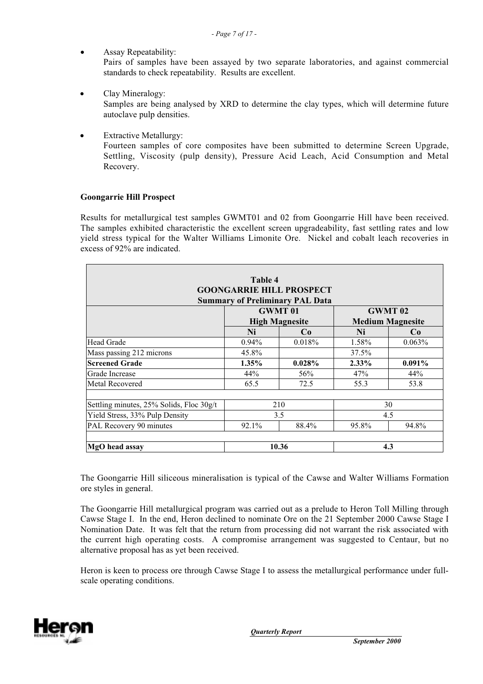- Assay Repeatability: Pairs of samples have been assayed by two separate laboratories, and against commercial standards to check repeatability. Results are excellent.
- Clay Mineralogy: Samples are being analysed by XRD to determine the clay types, which will determine future autoclave pulp densities.
- **Extractive Metallurgy:** Fourteen samples of core composites have been submitted to determine Screen Upgrade, Settling, Viscosity (pulp density), Pressure Acid Leach, Acid Consumption and Metal Recovery.

### **Goongarrie Hill Prospect**

Results for metallurgical test samples GWMT01 and 02 from Goongarrie Hill have been received. The samples exhibited characteristic the excellent screen upgradeability, fast settling rates and low yield stress typical for the Walter Williams Limonite Ore. Nickel and cobalt leach recoveries in excess of 92% are indicated.

| <b>GOONGARRIE HILL PROSPECT</b><br><b>Summary of Preliminary PAL Data</b> |            |                                         |                                           |           |  |  |  |  |  |  |
|---------------------------------------------------------------------------|------------|-----------------------------------------|-------------------------------------------|-----------|--|--|--|--|--|--|
|                                                                           |            | <b>GWMT 01</b><br><b>High Magnesite</b> | <b>GWMT</b> 02<br><b>Medium Magnesite</b> |           |  |  |  |  |  |  |
|                                                                           | Ni         | Co                                      | Ni                                        | Co        |  |  |  |  |  |  |
| <b>Head Grade</b>                                                         | $0.94\%$   | 0.018%                                  | 1.58%                                     | $0.063\%$ |  |  |  |  |  |  |
| Mass passing 212 microns                                                  | 45.8%      |                                         | 37.5%                                     |           |  |  |  |  |  |  |
| <b>Screened Grade</b>                                                     | 1.35%      | 0.028%                                  | 2.33%                                     | $0.091\%$ |  |  |  |  |  |  |
| Grade Increase                                                            | 44%<br>56% |                                         | 47%                                       | 44%       |  |  |  |  |  |  |
| Metal Recovered                                                           | 65.5       | 72.5                                    | 55.3                                      | 53.8      |  |  |  |  |  |  |
| Settling minutes, 25% Solids, Floc 30g/t                                  |            | 210                                     | 30                                        |           |  |  |  |  |  |  |
| Yield Stress, 33% Pulp Density                                            | 3.5        |                                         |                                           | 4.5       |  |  |  |  |  |  |
| PAL Recovery 90 minutes                                                   | 92.1%      | 88.4%                                   | 95.8%                                     | 94.8%     |  |  |  |  |  |  |
| MgO head assay                                                            |            | 10.36                                   | 4.3                                       |           |  |  |  |  |  |  |

The Goongarrie Hill siliceous mineralisation is typical of the Cawse and Walter Williams Formation ore styles in general.

The Goongarrie Hill metallurgical program was carried out as a prelude to Heron Toll Milling through Cawse Stage I. In the end, Heron declined to nominate Ore on the 21 September 2000 Cawse Stage I Nomination Date. It was felt that the return from processing did not warrant the risk associated with the current high operating costs. A compromise arrangement was suggested to Centaur, but no alternative proposal has as yet been received.

Heron is keen to process ore through Cawse Stage I to assess the metallurgical performance under fullscale operating conditions.

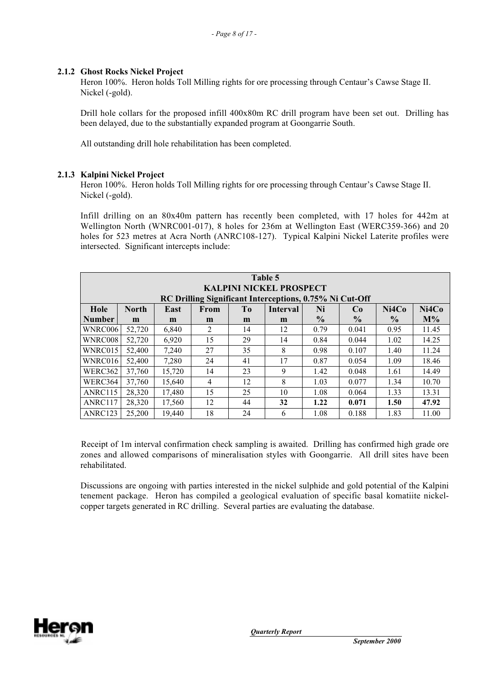### **2.1.2 Ghost Rocks Nickel Project**

Heron 100%. Heron holds Toll Milling rights for ore processing through Centaur's Cawse Stage II. Nickel (-gold).

Drill hole collars for the proposed infill 400x80m RC drill program have been set out. Drilling has been delayed, due to the substantially expanded program at Goongarrie South.

All outstanding drill hole rehabilitation has been completed.

### **2.1.3 Kalpini Nickel Project**

Heron 100%. Heron holds Toll Milling rights for ore processing through Centaur's Cawse Stage II. Nickel (-gold).

Infill drilling on an 80x40m pattern has recently been completed, with 17 holes for 442m at Wellington North (WNRC001-017), 8 holes for 236m at Wellington East (WERC359-366) and 20 holes for 523 metres at Acra North (ANRC108-127). Typical Kalpini Nickel Laterite profiles were intersected. Significant intercepts include:

| Table 5<br><b>KALPINI NICKEL PROSPECT</b><br>RC Drilling Significant Interceptions, 0.75% Ni Cut-Off |              |        |      |    |          |               |                |               |       |  |  |
|------------------------------------------------------------------------------------------------------|--------------|--------|------|----|----------|---------------|----------------|---------------|-------|--|--|
| Hole                                                                                                 | <b>North</b> | East   | From | To | Interval | Ni            | C <sub>0</sub> | Ni4Co         | Ni4Co |  |  |
| <b>Number</b>                                                                                        | m            | m      | m    | m  | m        | $\frac{6}{9}$ | $\frac{6}{9}$  | $\frac{6}{9}$ | $M\%$ |  |  |
| WNRC006                                                                                              | 52,720       | 6,840  | 2    | 14 | 12       | 0.79          | 0.041          | 0.95          | 11.45 |  |  |
| WNRC008                                                                                              | 52,720       | 6,920  | 15   | 29 | 14       | 0.84          | 0.044          | 1.02          | 14.25 |  |  |
| WNRC015                                                                                              | 52,400       | 7,240  | 27   | 35 | 8        | 0.98          | 0.107          | 1.40          | 11.24 |  |  |
| WNRC016                                                                                              | 52,400       | 7.280  | 24   | 41 | 17       | 0.87          | 0.054          | 1.09          | 18.46 |  |  |
| WERC362                                                                                              | 37,760       | 15,720 | 14   | 23 | 9        | 1.42          | 0.048          | 1.61          | 14.49 |  |  |
| WERC364                                                                                              | 37,760       | 15,640 | 4    | 12 | 8        | 1.03          | 0.077          | 1.34          | 10.70 |  |  |
| ANRC115                                                                                              | 28,320       | 17,480 | 15   | 25 | 10       | 1.08          | 0.064          | 1.33          | 13.31 |  |  |
| ANRC117                                                                                              | 28,320       | 17,560 | 12   | 44 | 32       | 1.22          | 0.071          | 1.50          | 47.92 |  |  |
| ANRC123                                                                                              | 25,200       | 19.440 | 18   | 24 | 6        | 1.08          | 0.188          | 1.83          | 11.00 |  |  |

Receipt of 1m interval confirmation check sampling is awaited. Drilling has confirmed high grade ore zones and allowed comparisons of mineralisation styles with Goongarrie. All drill sites have been rehabilitated.

Discussions are ongoing with parties interested in the nickel sulphide and gold potential of the Kalpini tenement package. Heron has compiled a geological evaluation of specific basal komatiite nickelcopper targets generated in RC drilling. Several parties are evaluating the database.

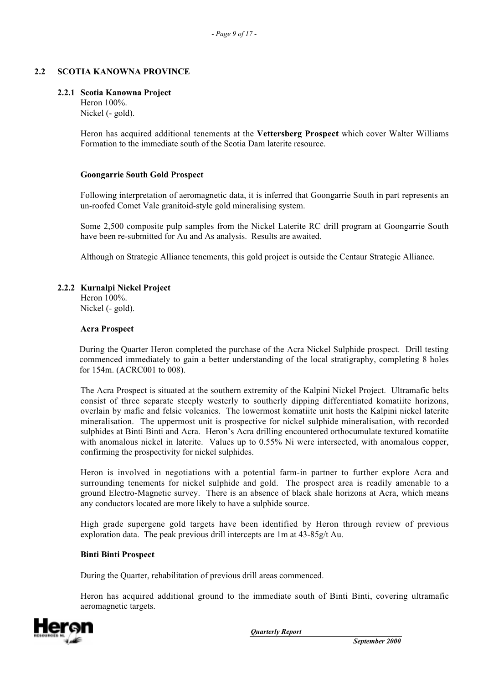## **2.2 SCOTIA KANOWNA PROVINCE**

### **2.2.1 Scotia Kanowna Project**

Heron 100%. Nickel (- gold).

Heron has acquired additional tenements at the **Vettersberg Prospect** which cover Walter Williams Formation to the immediate south of the Scotia Dam laterite resource.

#### **Goongarrie South Gold Prospect**

Following interpretation of aeromagnetic data, it is inferred that Goongarrie South in part represents an un-roofed Comet Vale granitoid-style gold mineralising system.

Some 2,500 composite pulp samples from the Nickel Laterite RC drill program at Goongarrie South have been re-submitted for Au and As analysis. Results are awaited.

Although on Strategic Alliance tenements, this gold project is outside the Centaur Strategic Alliance.

### **2.2.2 Kurnalpi Nickel Project**

Heron 100%. Nickel (- gold).

#### **Acra Prospect**

During the Quarter Heron completed the purchase of the Acra Nickel Sulphide prospect. Drill testing commenced immediately to gain a better understanding of the local stratigraphy, completing 8 holes for 154m. (ACRC001 to 008).

The Acra Prospect is situated at the southern extremity of the Kalpini Nickel Project. Ultramafic belts consist of three separate steeply westerly to southerly dipping differentiated komatiite horizons, overlain by mafic and felsic volcanics. The lowermost komatiite unit hosts the Kalpini nickel laterite mineralisation. The uppermost unit is prospective for nickel sulphide mineralisation, with recorded sulphides at Binti Binti and Acra. Heron's Acra drilling encountered orthocumulate textured komatiite with anomalous nickel in laterite. Values up to 0.55% Ni were intersected, with anomalous copper, confirming the prospectivity for nickel sulphides.

Heron is involved in negotiations with a potential farm-in partner to further explore Acra and surrounding tenements for nickel sulphide and gold. The prospect area is readily amenable to a ground Electro-Magnetic survey. There is an absence of black shale horizons at Acra, which means any conductors located are more likely to have a sulphide source.

High grade supergene gold targets have been identified by Heron through review of previous exploration data. The peak previous drill intercepts are 1m at 43-85g/t Au.

### **Binti Binti Prospect**

During the Quarter, rehabilitation of previous drill areas commenced.

Heron has acquired additional ground to the immediate south of Binti Binti, covering ultramafic aeromagnetic targets.

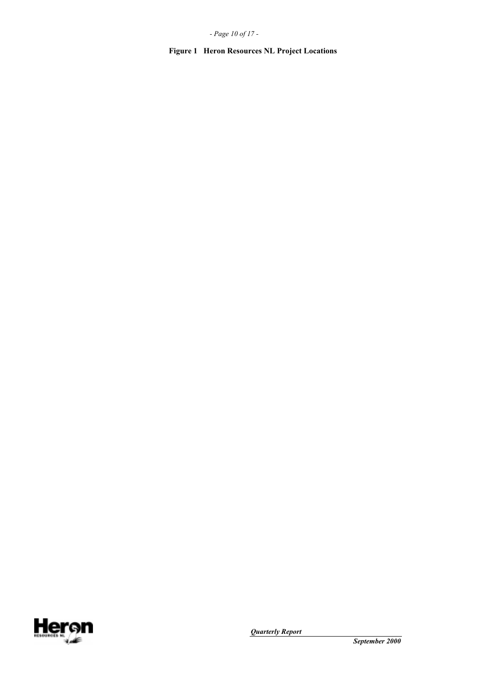*- Page 10 of 17 -*

**Figure 1 Heron Resources NL Project Locations**

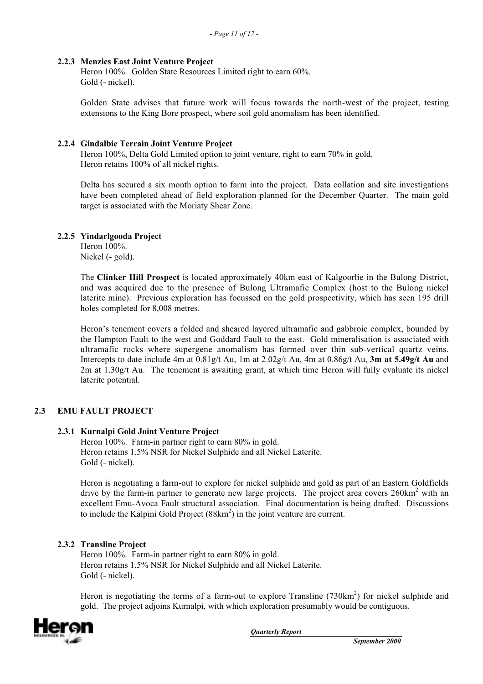### **2.2.3 Menzies East Joint Venture Project**

Heron 100%. Golden State Resources Limited right to earn 60%. Gold (- nickel).

Golden State advises that future work will focus towards the north-west of the project, testing extensions to the King Bore prospect, where soil gold anomalism has been identified.

### **2.2.4 Gindalbie Terrain Joint Venture Project**

Heron 100%, Delta Gold Limited option to joint venture, right to earn 70% in gold. Heron retains 100% of all nickel rights.

Delta has secured a six month option to farm into the project. Data collation and site investigations have been completed ahead of field exploration planned for the December Quarter. The main gold target is associated with the Moriaty Shear Zone.

### **2.2.5 Yindarlgooda Project**

Heron 100%. Nickel (- gold).

The **Clinker Hill Prospect** is located approximately 40km east of Kalgoorlie in the Bulong District, and was acquired due to the presence of Bulong Ultramafic Complex (host to the Bulong nickel laterite mine). Previous exploration has focussed on the gold prospectivity, which has seen 195 drill holes completed for 8,008 metres.

Heron's tenement covers a folded and sheared layered ultramafic and gabbroic complex, bounded by the Hampton Fault to the west and Goddard Fault to the east. Gold mineralisation is associated with ultramafic rocks where supergene anomalism has formed over thin sub-vertical quartz veins. Intercepts to date include 4m at 0.81g/t Au, 1m at 2.02g/t Au, 4m at 0.86g/t Au, **3m at 5.49g/t Au** and 2m at 1.30g/t Au. The tenement is awaiting grant, at which time Heron will fully evaluate its nickel laterite potential.

# **2.3 EMU FAULT PROJECT**

### **2.3.1 Kurnalpi Gold Joint Venture Project**

Heron 100%. Farm-in partner right to earn 80% in gold. Heron retains 1.5% NSR for Nickel Sulphide and all Nickel Laterite. Gold (- nickel).

Heron is negotiating a farm-out to explore for nickel sulphide and gold as part of an Eastern Goldfields drive by the farm-in partner to generate new large projects. The project area covers  $260 \text{km}^2$  with an excellent Emu-Avoca Fault structural association. Final documentation is being drafted. Discussions to include the Kalpini Gold Project  $(88 \text{km}^2)$  in the joint venture are current.

### **2.3.2 Transline Project**

Heron 100%. Farm-in partner right to earn 80% in gold. Heron retains 1.5% NSR for Nickel Sulphide and all Nickel Laterite. Gold (- nickel).

Heron is negotiating the terms of a farm-out to explore Transline (730km<sup>2</sup>) for nickel sulphide and gold. The project adjoins Kurnalpi, with which exploration presumably would be contiguous.

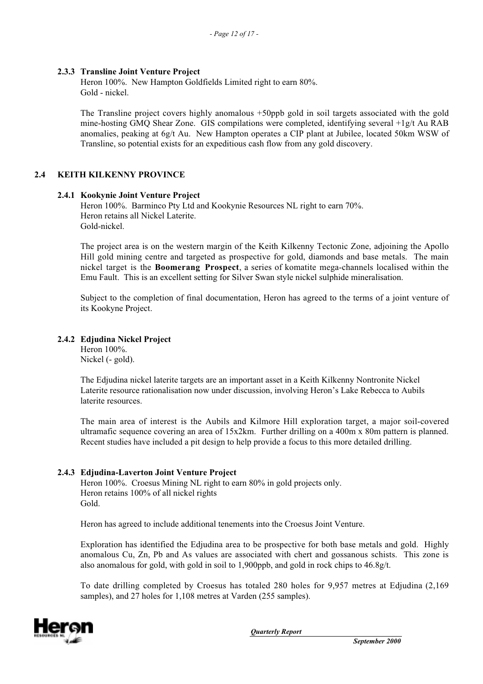### **2.3.3 Transline Joint Venture Project**

Heron 100%. New Hampton Goldfields Limited right to earn 80%. Gold - nickel.

The Transline project covers highly anomalous +50ppb gold in soil targets associated with the gold mine-hosting GMQ Shear Zone. GIS compilations were completed, identifying several +1g/t Au RAB anomalies, peaking at 6g/t Au. New Hampton operates a CIP plant at Jubilee, located 50km WSW of Transline, so potential exists for an expeditious cash flow from any gold discovery.

### **2.4 KEITH KILKENNY PROVINCE**

### **2.4.1 Kookynie Joint Venture Project**

Heron 100%. Barminco Pty Ltd and Kookynie Resources NL right to earn 70%. Heron retains all Nickel Laterite. Gold-nickel.

The project area is on the western margin of the Keith Kilkenny Tectonic Zone, adjoining the Apollo Hill gold mining centre and targeted as prospective for gold, diamonds and base metals. The main nickel target is the **Boomerang Prospect**, a series of komatite mega-channels localised within the Emu Fault. This is an excellent setting for Silver Swan style nickel sulphide mineralisation.

Subject to the completion of final documentation, Heron has agreed to the terms of a joint venture of its Kookyne Project.

### **2.4.2 Edjudina Nickel Project**

Heron 100%. Nickel (- gold).

The Edjudina nickel laterite targets are an important asset in a Keith Kilkenny Nontronite Nickel Laterite resource rationalisation now under discussion, involving Heron's Lake Rebecca to Aubils laterite resources.

The main area of interest is the Aubils and Kilmore Hill exploration target, a major soil-covered ultramafic sequence covering an area of 15x2km. Further drilling on a 400m x 80m pattern is planned. Recent studies have included a pit design to help provide a focus to this more detailed drilling.

### **2.4.3 Edjudina-Laverton Joint Venture Project**

Heron 100%. Croesus Mining NL right to earn 80% in gold projects only. Heron retains 100% of all nickel rights Gold.

Heron has agreed to include additional tenements into the Croesus Joint Venture.

Exploration has identified the Edjudina area to be prospective for both base metals and gold. Highly anomalous Cu, Zn, Pb and As values are associated with chert and gossanous schists. This zone is also anomalous for gold, with gold in soil to 1,900ppb, and gold in rock chips to 46.8g/t.

To date drilling completed by Croesus has totaled 280 holes for 9,957 metres at Edjudina (2,169 samples), and 27 holes for 1,108 metres at Varden (255 samples).

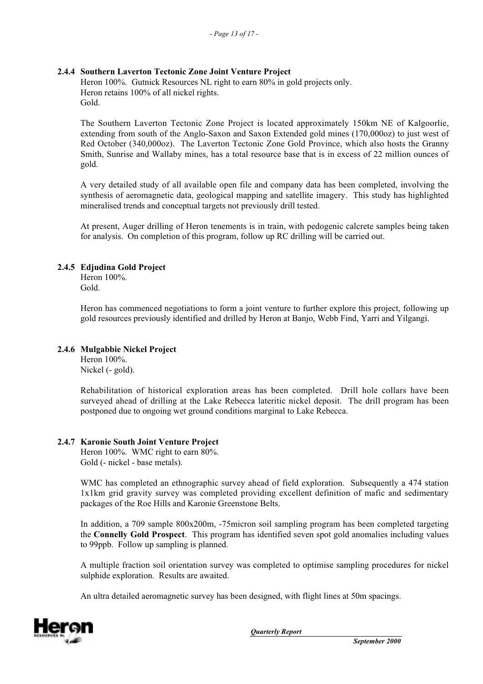### **2.4.4 Southern Laverton Tectonic Zone Joint Venture Project**

Heron 100%. Gutnick Resources NL right to earn 80% in gold projects only. Heron retains 100% of all nickel rights. Gold.

The Southern Laverton Tectonic Zone Project is located approximately 150km NE of Kalgoorlie, extending from south of the Anglo-Saxon and Saxon Extended gold mines (170,000oz) to just west of Red October (340,000oz). The Laverton Tectonic Zone Gold Province, which also hosts the Granny Smith, Sunrise and Wallaby mines, has a total resource base that is in excess of 22 million ounces of gold.

A very detailed study of all available open file and company data has been completed, involving the synthesis of aeromagnetic data, geological mapping and satellite imagery. This study has highlighted mineralised trends and conceptual targets not previously drill tested.

At present, Auger drilling of Heron tenements is in train, with pedogenic calcrete samples being taken for analysis. On completion of this program, follow up RC drilling will be carried out.

### **2.4.5 Edjudina Gold Project**

Heron 100%. Gold.

Heron has commenced negotiations to form a joint venture to further explore this project, following up gold resources previously identified and drilled by Heron at Banjo, Webb Find, Yarri and Yilgangi.

### **2.4.6 Mulgabbie Nickel Project**

Heron 100%. Nickel (- gold).

Rehabilitation of historical exploration areas has been completed. Drill hole collars have been surveyed ahead of drilling at the Lake Rebecca lateritic nickel deposit. The drill program has been postponed due to ongoing wet ground conditions marginal to Lake Rebecca.

### **2.4.7 Karonie South Joint Venture Project**

Heron 100%. WMC right to earn 80%. Gold (- nickel - base metals).

WMC has completed an ethnographic survey ahead of field exploration. Subsequently a 474 station 1x1km grid gravity survey was completed providing excellent definition of mafic and sedimentary packages of the Roe Hills and Karonie Greenstone Belts.

In addition, a 709 sample 800x200m, -75micron soil sampling program has been completed targeting the **Connelly Gold Prospect**. This program has identified seven spot gold anomalies including values to 99ppb. Follow up sampling is planned.

A multiple fraction soil orientation survey was completed to optimise sampling procedures for nickel sulphide exploration. Results are awaited.

An ultra detailed aeromagnetic survey has been designed, with flight lines at 50m spacings.

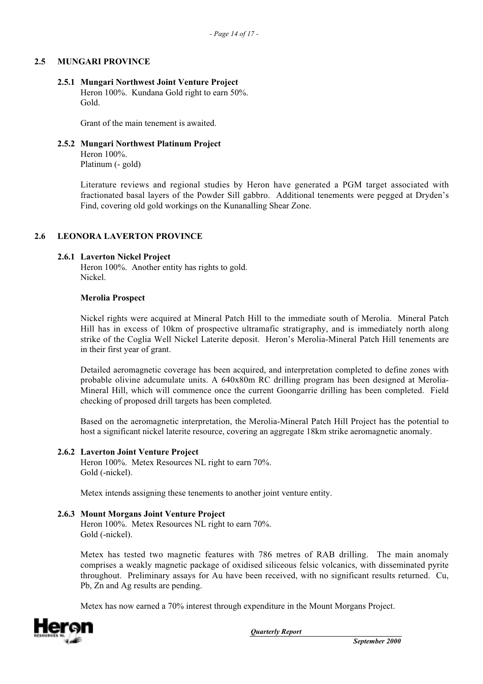### **2.5 MUNGARI PROVINCE**

#### **2.5.1 Mungari Northwest Joint Venture Project**

Heron 100%. Kundana Gold right to earn 50%. Gold.

Grant of the main tenement is awaited.

### **2.5.2 Mungari Northwest Platinum Project**

Heron 100%. Platinum (- gold)

Literature reviews and regional studies by Heron have generated a PGM target associated with fractionated basal layers of the Powder Sill gabbro. Additional tenements were pegged at Dryden's Find, covering old gold workings on the Kunanalling Shear Zone.

### **2.6 LEONORA LAVERTON PROVINCE**

### **2.6.1 Laverton Nickel Project**

Heron 100%. Another entity has rights to gold. Nickel.

### **Merolia Prospect**

Nickel rights were acquired at Mineral Patch Hill to the immediate south of Merolia. Mineral Patch Hill has in excess of 10km of prospective ultramafic stratigraphy, and is immediately north along strike of the Coglia Well Nickel Laterite deposit. Heron's Merolia-Mineral Patch Hill tenements are in their first year of grant.

Detailed aeromagnetic coverage has been acquired, and interpretation completed to define zones with probable olivine adcumulate units. A 640x80m RC drilling program has been designed at Merolia-Mineral Hill, which will commence once the current Goongarrie drilling has been completed. Field checking of proposed drill targets has been completed.

Based on the aeromagnetic interpretation, the Merolia-Mineral Patch Hill Project has the potential to host a significant nickel laterite resource, covering an aggregate 18km strike aeromagnetic anomaly.

### **2.6.2 Laverton Joint Venture Project**

Heron 100%. Metex Resources NL right to earn 70%. Gold (-nickel).

Metex intends assigning these tenements to another joint venture entity.

### **2.6.3 Mount Morgans Joint Venture Project**

Heron 100%. Metex Resources NL right to earn 70%. Gold (-nickel).

Metex has tested two magnetic features with 786 metres of RAB drilling. The main anomaly comprises a weakly magnetic package of oxidised siliceous felsic volcanics, with disseminated pyrite throughout. Preliminary assays for Au have been received, with no significant results returned. Cu, Pb, Zn and Ag results are pending.

Metex has now earned a 70% interest through expenditure in the Mount Morgans Project.

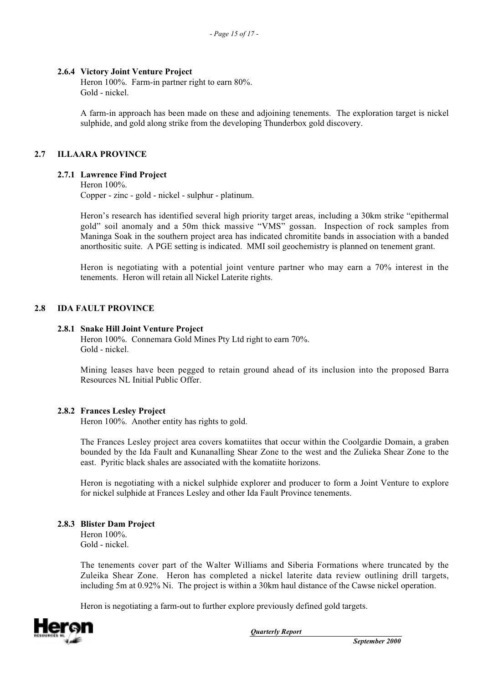### **2.6.4 Victory Joint Venture Project**

Heron 100%. Farm-in partner right to earn 80%. Gold - nickel.

A farm-in approach has been made on these and adjoining tenements. The exploration target is nickel sulphide, and gold along strike from the developing Thunderbox gold discovery.

## **2.7 ILLAARA PROVINCE**

### **2.7.1 Lawrence Find Project**

Heron 100%.

Copper - zinc - gold - nickel - sulphur - platinum.

Heron's research has identified several high priority target areas, including a 30km strike "epithermal gold" soil anomaly and a 50m thick massive "VMS" gossan. Inspection of rock samples from Maninga Soak in the southern project area has indicated chromitite bands in association with a banded anorthositic suite. A PGE setting is indicated. MMI soil geochemistry is planned on tenement grant.

Heron is negotiating with a potential joint venture partner who may earn a 70% interest in the tenements. Heron will retain all Nickel Laterite rights.

### **2.8 IDA FAULT PROVINCE**

### **2.8.1 Snake Hill Joint Venture Project**

Heron 100%. Connemara Gold Mines Pty Ltd right to earn 70%. Gold - nickel.

Mining leases have been pegged to retain ground ahead of its inclusion into the proposed Barra Resources NL Initial Public Offer.

### **2.8.2 Frances Lesley Project**

Heron 100%. Another entity has rights to gold.

The Frances Lesley project area covers komatiites that occur within the Coolgardie Domain, a graben bounded by the Ida Fault and Kunanalling Shear Zone to the west and the Zulieka Shear Zone to the east. Pyritic black shales are associated with the komatiite horizons.

Heron is negotiating with a nickel sulphide explorer and producer to form a Joint Venture to explore for nickel sulphide at Frances Lesley and other Ida Fault Province tenements.

### **2.8.3 Blister Dam Project**

Heron 100%. Gold - nickel.

The tenements cover part of the Walter Williams and Siberia Formations where truncated by the Zuleika Shear Zone. Heron has completed a nickel laterite data review outlining drill targets, including 5m at 0.92% Ni. The project is within a 30km haul distance of the Cawse nickel operation.

Heron is negotiating a farm-out to further explore previously defined gold targets.

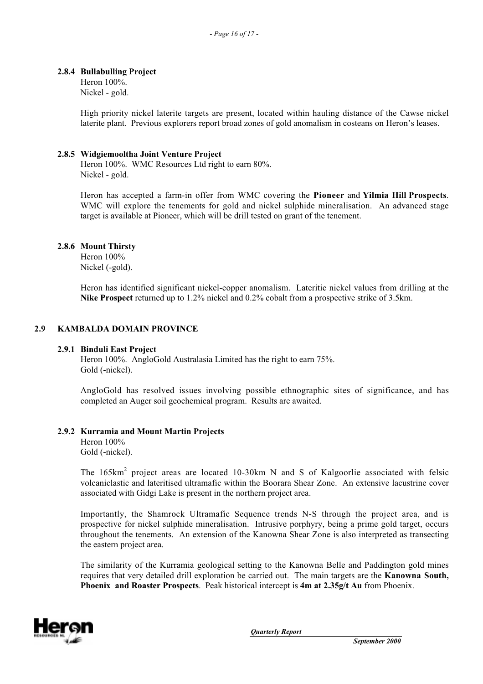### **2.8.4 Bullabulling Project**

Heron 100%. Nickel - gold.

High priority nickel laterite targets are present, located within hauling distance of the Cawse nickel laterite plant. Previous explorers report broad zones of gold anomalism in costeans on Heron's leases.

### **2.8.5 Widgiemooltha Joint Venture Project**

Heron 100%. WMC Resources Ltd right to earn 80%. Nickel - gold.

Heron has accepted a farm-in offer from WMC covering the **Pioneer** and **Yilmia Hill Prospects**. WMC will explore the tenements for gold and nickel sulphide mineralisation. An advanced stage target is available at Pioneer, which will be drill tested on grant of the tenement.

### **2.8.6 Mount Thirsty**

Heron 100% Nickel (-gold).

Heron has identified significant nickel-copper anomalism. Lateritic nickel values from drilling at the **Nike Prospect** returned up to 1.2% nickel and 0.2% cobalt from a prospective strike of 3.5km.

# **2.9 KAMBALDA DOMAIN PROVINCE**

### **2.9.1 Binduli East Project**

Heron 100%. AngloGold Australasia Limited has the right to earn 75%. Gold (-nickel).

AngloGold has resolved issues involving possible ethnographic sites of significance, and has completed an Auger soil geochemical program. Results are awaited.

### **2.9.2 Kurramia and Mount Martin Projects**

Heron 100% Gold (-nickel).

The  $165 \text{km}^2$  project areas are located 10-30km N and S of Kalgoorlie associated with felsic volcaniclastic and lateritised ultramafic within the Boorara Shear Zone. An extensive lacustrine cover associated with Gidgi Lake is present in the northern project area.

Importantly, the Shamrock Ultramafic Sequence trends N-S through the project area, and is prospective for nickel sulphide mineralisation. Intrusive porphyry, being a prime gold target, occurs throughout the tenements. An extension of the Kanowna Shear Zone is also interpreted as transecting the eastern project area.

The similarity of the Kurramia geological setting to the Kanowna Belle and Paddington gold mines requires that very detailed drill exploration be carried out. The main targets are the **Kanowna South, Phoenix and Roaster Prospects**. Peak historical intercept is **4m at 2.35g/t Au** from Phoenix.